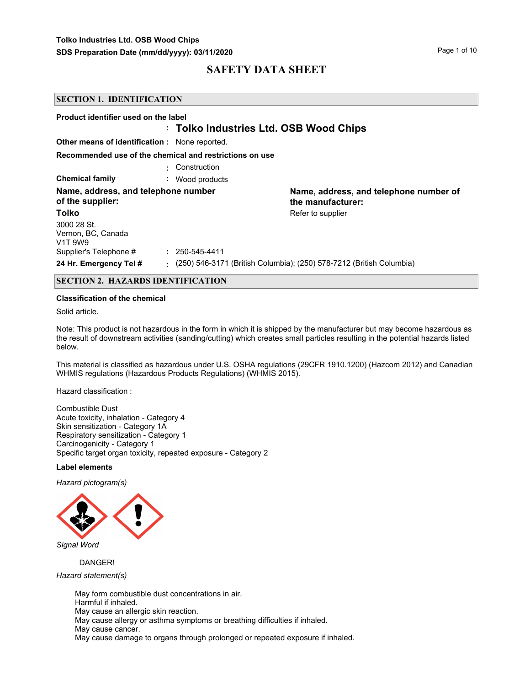| <b>SECTION 1. IDENTIFICATION</b>                                      |                                                         |                                                                      |
|-----------------------------------------------------------------------|---------------------------------------------------------|----------------------------------------------------------------------|
| Product identifier used on the label                                  |                                                         |                                                                      |
|                                                                       | : Tolko Industries Ltd. OSB Wood Chips                  |                                                                      |
| <b>Other means of identification:</b> None reported.                  |                                                         |                                                                      |
|                                                                       | Recommended use of the chemical and restrictions on use |                                                                      |
|                                                                       | Construction                                            |                                                                      |
| <b>Chemical family</b>                                                | : Wood products                                         |                                                                      |
| Name, address, and telephone number<br>of the supplier:               |                                                         | Name, address, and telephone number of<br>the manufacturer:          |
| <b>Tolko</b>                                                          |                                                         | Refer to supplier                                                    |
| 3000 28 St.<br>Vernon, BC, Canada<br>V <sub>1</sub> T 9W <sub>9</sub> |                                                         |                                                                      |
| Supplier's Telephone #                                                | $: 250 - 545 - 4411$                                    |                                                                      |
| 24 Hr. Emergency Tel #                                                |                                                         | (250) 546-3171 (British Columbia); (250) 578-7212 (British Columbia) |

## **SECTION 2. HAZARDS IDENTIFICATION**

#### **Classification of the chemical**

Solid article.

Note: This product is not hazardous in the form in which it is shipped by the manufacturer but may become hazardous as the result of downstream activities (sanding/cutting) which creates small particles resulting in the potential hazards listed below.

This material is classified as hazardous under U.S. OSHA regulations (29CFR 1910.1200) (Hazcom 2012) and Canadian WHMIS regulations (Hazardous Products Regulations) (WHMIS 2015).

Hazard classification :

Combustible Dust Acute toxicity, inhalation - Category 4 Skin sensitization - Category 1A Respiratory sensitization - Category 1 Carcinogenicity - Category 1 Specific target organ toxicity, repeated exposure - Category 2

#### **Label elements**

*Hazard pictogram(s)*



DANGER!

*Hazard statement(s)*

May form combustible dust concentrations in air. Harmful if inhaled. May cause an allergic skin reaction. May cause allergy or asthma symptoms or breathing difficulties if inhaled. May cause cancer. May cause damage to organs through prolonged or repeated exposure if inhaled.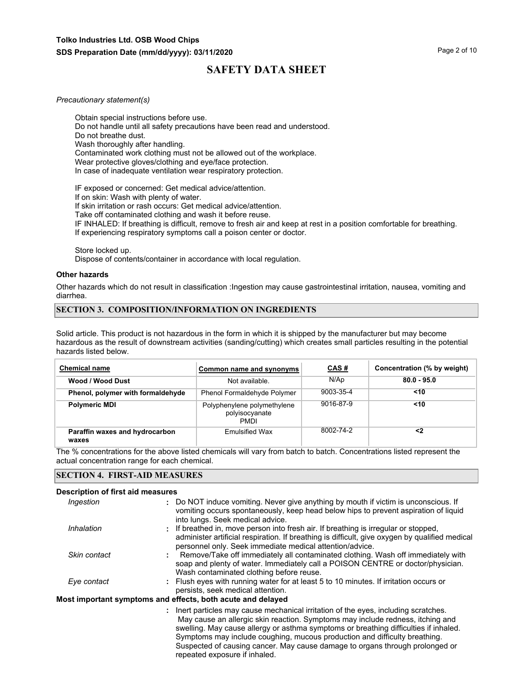#### *Precautionary statement(s)*

Obtain special instructions before use. Do not handle until all safety precautions have been read and understood. Do not breathe dust. Wash thoroughly after handling. Contaminated work clothing must not be allowed out of the workplace. Wear protective gloves/clothing and eye/face protection. In case of inadequate ventilation wear respiratory protection.

IF exposed or concerned: Get medical advice/attention. If on skin: Wash with plenty of water. If skin irritation or rash occurs: Get medical advice/attention. Take off contaminated clothing and wash it before reuse. IF INHALED: If breathing is difficult, remove to fresh air and keep at rest in a position comfortable for breathing. If experiencing respiratory symptoms call a poison center or doctor.

Store locked up.

Dispose of contents/container in accordance with local regulation.

#### **Other hazards**

Other hazards which do not result in classification :Ingestion may cause gastrointestinal irritation, nausea, vomiting and diarrhea.

#### **SECTION 3. COMPOSITION/INFORMATION ON INGREDIENTS**

Solid article. This product is not hazardous in the form in which it is shipped by the manufacturer but may become hazardous as the result of downstream activities (sanding/cutting) which creates small particles resulting in the potential hazards listed below.

| <b>Chemical name</b>                    | Common name and synonyms                                     | CAS#      | Concentration (% by weight) |
|-----------------------------------------|--------------------------------------------------------------|-----------|-----------------------------|
| Wood / Wood Dust                        | Not available.                                               | N/Ap      | $80.0 - 95.0$               |
| Phenol, polymer with formaldehyde       | Phenol Formaldehyde Polymer                                  | 9003-35-4 | $<$ 10                      |
| <b>Polymeric MDI</b>                    | Polyphenylene polymethylene<br>polyisocyanate<br><b>PMDI</b> | 9016-87-9 | $<$ 10                      |
| Paraffin waxes and hydrocarbon<br>waxes | <b>Emulsified Wax</b>                                        | 8002-74-2 | <2                          |

The % concentrations for the above listed chemicals will vary from batch to batch. Concentrations listed represent the actual concentration range for each chemical.

#### **SECTION 4. FIRST-AID MEASURES**

#### **Description of first aid measures**

| Ingestion    | : Do NOT induce vomiting. Never give anything by mouth if victim is unconscious. If<br>vomiting occurs spontaneously, keep head below hips to prevent aspiration of liquid |
|--------------|----------------------------------------------------------------------------------------------------------------------------------------------------------------------------|
|              | into lungs. Seek medical advice.                                                                                                                                           |
| Inhalation   | : If breathed in, move person into fresh air. If breathing is irregular or stopped,                                                                                        |
|              | administer artificial respiration. If breathing is difficult, give oxygen by qualified medical                                                                             |
|              | personnel only. Seek immediate medical attention/advice.                                                                                                                   |
| Skin contact | Remove/Take off immediately all contaminated clothing. Wash off immediately with                                                                                           |
|              | soap and plenty of water. Immediately call a POISON CENTRE or doctor/physician.                                                                                            |
|              | Wash contaminated clothing before reuse.                                                                                                                                   |
| Eye contact  | : Flush eyes with running water for at least 5 to 10 minutes. If irritation occurs or                                                                                      |
|              | persists, seek medical attention.                                                                                                                                          |
|              | Most important symptoms and effects, both acute and delayed                                                                                                                |

**:** Inert particles may cause mechanical irritation of the eyes, including scratches. May cause an allergic skin reaction. Symptoms may include redness, itching and swelling. May cause allergy or asthma symptoms or breathing difficulties if inhaled. Symptoms may include coughing, mucous production and difficulty breathing. Suspected of causing cancer. May cause damage to organs through prolonged or repeated exposure if inhaled.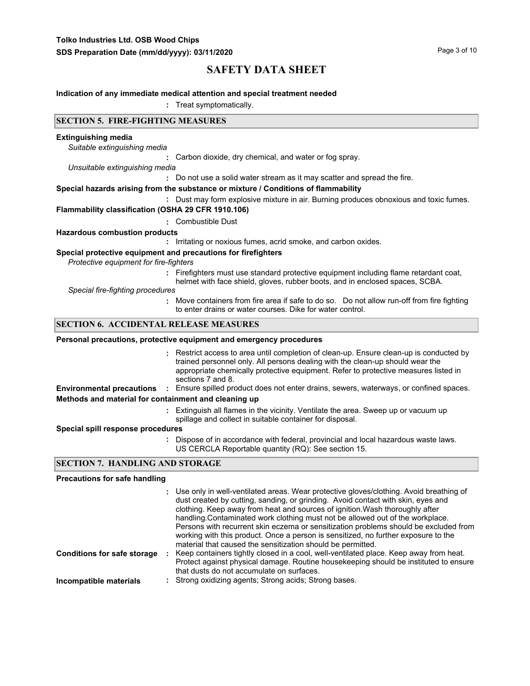#### **Indication of any immediate medical attention and special treatment needed**

**:** Treat symptomatically.

## **SECTION 5. FIRE-FIGHTING MEASURES**

#### **Extinguishing media**

*Suitable extinguishing media*

**:** Carbon dioxide, dry chemical, and water or fog spray.

*Unsuitable extinguishing media*

**:** Do not use a solid water stream as it may scatter and spread the fire.

#### **Special hazards arising from the substance or mixture / Conditions of flammability**

**:** Dust may form explosive mixture in air. Burning produces obnoxious and toxic fumes.

#### **Flammability classification (OSHA 29 CFR 1910.106)**

**:** Combustible Dust

#### **Hazardous combustion products**

**:** Irritating or noxious fumes, acrid smoke, and carbon oxides.

#### **Special protective equipment and precautions for firefighters**

*Protective equipment for fire-fighters*

**:** Firefighters must use standard protective equipment including flame retardant coat,

helmet with face shield, gloves, rubber boots, and in enclosed spaces, SCBA.

*Special fire-fighting procedures*

**:** Move containers from fire area if safe to do so. Do not allow run-off from fire fighting to enter drains or water courses. Dike for water control.

## **SECTION 6. ACCIDENTAL RELEASE MEASURES**

#### **Personal precautions, protective equipment and emergency procedures**

Restrict access to area until completion of clean-up. Ensure clean-up is conducted by **:** trained personnel only. All persons dealing with the clean-up should wear the appropriate chemically protective equipment. Refer to protective measures listed in sections 7 and 8.

**Environmental precautions :** Ensure spilled product does not enter drains, sewers, waterways, or confined spaces. **Methods and material for containment and cleaning up**

> Extinguish all flames in the vicinity. Ventilate the area. Sweep up or vacuum up **:** spillage and collect in suitable container for disposal.

#### **Special spill response procedures**

**:** Dispose of in accordance with federal, provincial and local hazardous waste laws. US CERCLA Reportable quantity (RQ): See section 15.

## **SECTION 7. HANDLING AND STORAGE**

#### **Precautions for safe handling**

|                                    | : Use only in well-ventilated areas. Wear protective gloves/clothing. Avoid breathing of<br>dust created by cutting, sanding, or grinding. Avoid contact with skin, eyes and<br>clothing. Keep away from heat and sources of ignition. Wash thoroughly after<br>handling. Contaminated work clothing must not be allowed out of the workplace.<br>Persons with recurrent skin eczema or sensitization problems should be excluded from<br>working with this product. Once a person is sensitized, no further exposure to the<br>material that caused the sensitization should be permitted. |
|------------------------------------|---------------------------------------------------------------------------------------------------------------------------------------------------------------------------------------------------------------------------------------------------------------------------------------------------------------------------------------------------------------------------------------------------------------------------------------------------------------------------------------------------------------------------------------------------------------------------------------------|
| <b>Conditions for safe storage</b> | Keep containers tightly closed in a cool, well-ventilated place. Keep away from heat.<br>Protect against physical damage. Routine housekeeping should be instituted to ensure<br>that dusts do not accumulate on surfaces.                                                                                                                                                                                                                                                                                                                                                                  |
| Incompatible materials             | : Strong oxidizing agents; Strong acids; Strong bases.                                                                                                                                                                                                                                                                                                                                                                                                                                                                                                                                      |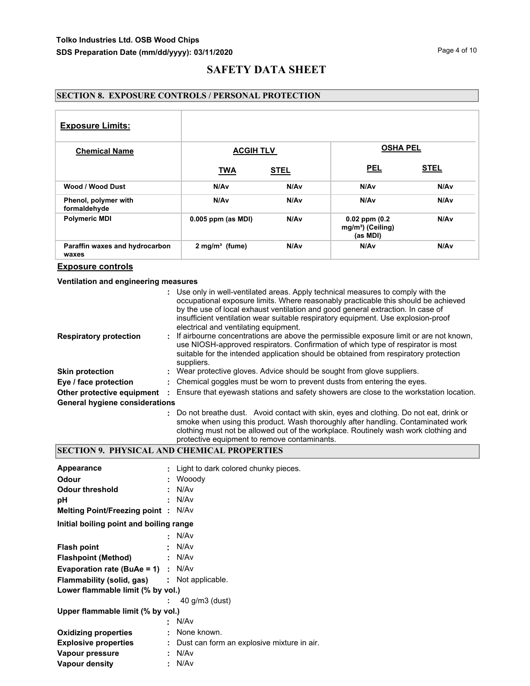## **SECTION 8. EXPOSURE CONTROLS / PERSONAL PROTECTION**

| <b>Exposure Limits:</b>                 |                      |                  |                                                                 |             |
|-----------------------------------------|----------------------|------------------|-----------------------------------------------------------------|-------------|
| <b>Chemical Name</b>                    | <b>ACGIH TLV</b>     |                  | <b>OSHA PEL</b>                                                 |             |
|                                         | <b>TWA</b>           | <b>STEL</b>      | <b>PEL</b>                                                      | <b>STEL</b> |
| Wood / Wood Dust                        | N/Av                 | N/A <sub>v</sub> | N/Av                                                            | N/Av        |
| Phenol, polymer with<br>formaldehyde    | N/Av                 | N/Av             | N/Av                                                            | N/Av        |
| <b>Polymeric MDI</b>                    | $0.005$ ppm (as MDI) | N/A <sub>v</sub> | $0.02$ ppm $(0.2)$<br>mg/m <sup>3</sup> ) (Ceiling)<br>(as MDI) | N/Av        |
| Paraffin waxes and hydrocarbon<br>waxes | $2$ mg/m $3$ (fume)  | N/A <sub>v</sub> | N/A <sub>v</sub>                                                | N/Av        |

## **Exposure controls**

## **Ventilation and engineering measures**

|                                       | : Use only in well-ventilated areas. Apply technical measures to comply with the<br>occupational exposure limits. Where reasonably practicable this should be achieved<br>by the use of local exhaust ventilation and good general extraction. In case of<br>insufficient ventilation wear suitable respiratory equipment. Use explosion-proof<br>electrical and ventilating equipment. |
|---------------------------------------|-----------------------------------------------------------------------------------------------------------------------------------------------------------------------------------------------------------------------------------------------------------------------------------------------------------------------------------------------------------------------------------------|
| <b>Respiratory protection</b>         | : If airbourne concentrations are above the permissible exposure limit or are not known,<br>use NIOSH-approved respirators. Confirmation of which type of respirator is most<br>suitable for the intended application should be obtained from respiratory protection<br>suppliers.                                                                                                      |
| <b>Skin protection</b>                | : Wear protective gloves. Advice should be sought from glove suppliers.                                                                                                                                                                                                                                                                                                                 |
| Eye / face protection                 | : Chemical goggles must be worn to prevent dusts from entering the eyes.                                                                                                                                                                                                                                                                                                                |
| Other protective equipment            | Ensure that eyewash stations and safety showers are close to the workstation location.                                                                                                                                                                                                                                                                                                  |
| <b>General hygiene considerations</b> |                                                                                                                                                                                                                                                                                                                                                                                         |
|                                       | : Do not breathe dust. Avoid contact with skin, eyes and clothing. Do not eat, drink or<br>emoke when using this product Wash thoroughly after handling. Contaminated work                                                                                                                                                                                                              |

## smoke when using this product. Wash thoroughly after handling. Contaminated work clothing must not be allowed out of the workplace. Routinely wash work clothing and protective equipment to remove contaminants.

## **SECTION 9. PHYSICAL AND CHEMICAL PROPERTIES**

| Appearance<br>Odour<br><b>Odour threshold</b><br>рH<br>Melting Point/Freezing point : N/Av                                                                                                 | ÷ | : Light to dark colored chunky pieces.<br>Wooody<br>N/Av<br>N/Av                      |
|--------------------------------------------------------------------------------------------------------------------------------------------------------------------------------------------|---|---------------------------------------------------------------------------------------|
| Initial boiling point and boiling range                                                                                                                                                    |   |                                                                                       |
| <b>Flash point</b><br><b>Flashpoint (Method)</b><br><b>Evaporation rate (BuAe = 1)</b> : $N/Av$<br><b>Flammability (solid, gas) :</b> Not applicable.<br>Lower flammable limit (% by vol.) | ÷ | N/Av<br>N/Av<br>N/Av<br>$40$ g/m $3$ (dust)                                           |
| Upper flammable limit (% by vol.)<br><b>Oxidizing properties</b><br><b>Explosive properties</b><br>Vapour pressure<br>Vapour density                                                       |   | N/Av<br>: None known.<br>: Dust can form an explosive mixture in air.<br>N/Av<br>N/Av |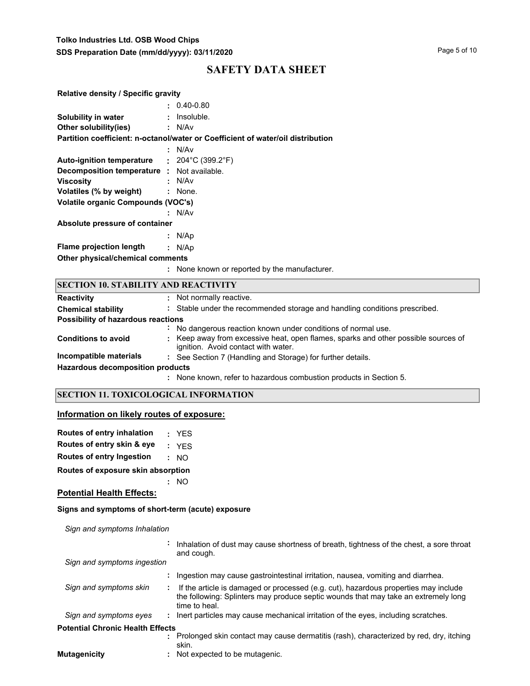## **Tolko Industries Ltd. OSB Wood Chips SDS Preparation Date (mm/dd/yyyy): 03/11/2020**

# **SAFETY DATA SHEET**

| <b>Relative density / Specific gravity</b>        |                                                                                 |
|---------------------------------------------------|---------------------------------------------------------------------------------|
|                                                   | $: 0.40 - 0.80$                                                                 |
| Solubility in water                               | $:$ Insoluble.                                                                  |
| Other solubility(ies)                             | : N/Av                                                                          |
|                                                   | Partition coefficient: n-octanol/water or Coefficient of water/oil distribution |
|                                                   | : N/Av                                                                          |
| Auto-ignition temperature : 204°C (399.2°F)       |                                                                                 |
| <b>Decomposition temperature :</b> Not available. |                                                                                 |
| <b>Viscosity</b>                                  | : N/Av                                                                          |
| Volatiles (% by weight) : None.                   |                                                                                 |
| <b>Volatile organic Compounds (VOC's)</b>         |                                                                                 |
|                                                   | : N/Av                                                                          |
| Absolute pressure of container                    |                                                                                 |
|                                                   | : $N/Ap$                                                                        |
| Flame projection length                           | : $N/Ap$                                                                        |
| Other physical/chemical comments                  |                                                                                 |
|                                                   | : None known or reported by the manufacturer.                                   |
| <b>SECTION 10. STABILITY AND REACTIVITY</b>       |                                                                                 |
|                                                   |                                                                                 |

| <b>Reactivity</b>                       | : Not normally reactive.                                                                                                  |
|-----------------------------------------|---------------------------------------------------------------------------------------------------------------------------|
| <b>Chemical stability</b>               | : Stable under the recommended storage and handling conditions prescribed.                                                |
| Possibility of hazardous reactions      |                                                                                                                           |
|                                         | No dangerous reaction known under conditions of normal use.                                                               |
| <b>Conditions to avoid</b>              | : Keep away from excessive heat, open flames, sparks and other possible sources of<br>ignition. Avoid contact with water. |
| Incompatible materials                  | : See Section 7 (Handling and Storage) for further details.                                                               |
| <b>Hazardous decomposition products</b> |                                                                                                                           |
|                                         | None known, refer to hazardous combustion products in Section 5.                                                          |

## **SECTION 11. TOXICOLOGICAL INFORMATION**

## **Information on likely routes of exposure:**

| <b>Routes of entry inhalation</b>  |  | : YES |  |
|------------------------------------|--|-------|--|
| Routes of entry skin & eye         |  | : YFS |  |
| Routes of entry Ingestion          |  | : MO  |  |
| Routes of exposure skin absorption |  |       |  |
|                                    |  | : NO  |  |

## **Potential Health Effects:**

## **Signs and symptoms of short-term (acute) exposure**

*Sign and symptoms Inhalation*

|                                         | Inhalation of dust may cause shortness of breath, tightness of the chest, a sore throat<br>and cough.                                                                                      |
|-----------------------------------------|--------------------------------------------------------------------------------------------------------------------------------------------------------------------------------------------|
| Sign and symptoms ingestion             |                                                                                                                                                                                            |
|                                         | Ingestion may cause gastrointestinal irritation, nausea, vomiting and diarrhea.                                                                                                            |
| Sign and symptoms skin                  | If the article is damaged or processed (e.g. cut), hazardous properties may include<br>the following: Splinters may produce septic wounds that may take an extremely long<br>time to heal. |
| Sign and symptoms eyes                  | : Inert particles may cause mechanical irritation of the eyes, including scratches.                                                                                                        |
| <b>Potential Chronic Health Effects</b> |                                                                                                                                                                                            |
|                                         | Prolonged skin contact may cause dermatitis (rash), characterized by red, dry, itching<br>skin.                                                                                            |
| <b>Mutagenicity</b>                     | Not expected to be mutagenic.                                                                                                                                                              |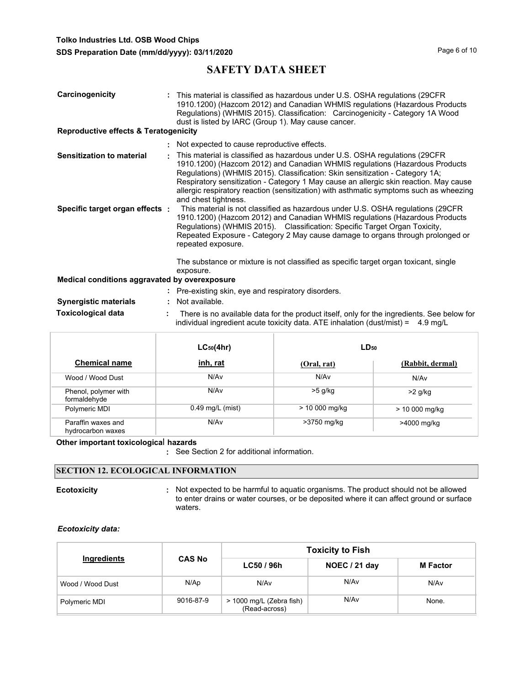| Carcinogenicity<br><b>Reproductive effects &amp; Teratogenicity</b> | : This material is classified as hazardous under U.S. OSHA regulations (29CFR)<br>1910.1200) (Hazcom 2012) and Canadian WHMIS regulations (Hazardous Products<br>Regulations) (WHMIS 2015). Classification: Carcinogenicity - Category 1A Wood<br>dust is listed by IARC (Group 1). May cause cancer.                                                                                                                                                 |
|---------------------------------------------------------------------|-------------------------------------------------------------------------------------------------------------------------------------------------------------------------------------------------------------------------------------------------------------------------------------------------------------------------------------------------------------------------------------------------------------------------------------------------------|
|                                                                     | : Not expected to cause reproductive effects.                                                                                                                                                                                                                                                                                                                                                                                                         |
| Sensitization to material                                           | This material is classified as hazardous under U.S. OSHA regulations (29CFR<br>1910.1200) (Hazcom 2012) and Canadian WHMIS regulations (Hazardous Products<br>Regulations) (WHMIS 2015). Classification: Skin sensitization - Category 1A;<br>Respiratory sensitization - Category 1 May cause an allergic skin reaction. May cause<br>allergic respiratory reaction (sensitization) with asthmatic symptoms such as wheezing<br>and chest tightness. |
| Specific target organ effects:                                      | This material is not classified as hazardous under U.S. OSHA regulations (29CFR)<br>1910.1200) (Hazcom 2012) and Canadian WHMIS regulations (Hazardous Products<br>Regulations) (WHMIS 2015). Classification: Specific Target Organ Toxicity,<br>Repeated Exposure - Category 2 May cause damage to organs through prolonged or<br>repeated exposure.<br>The substance or mixture is not classified as specific target organ toxicant, single         |
| Medical conditions aggravated by overexposure                       | exposure.                                                                                                                                                                                                                                                                                                                                                                                                                                             |
|                                                                     | : Pre-existing skin, eye and respiratory disorders.                                                                                                                                                                                                                                                                                                                                                                                                   |
| <b>Synergistic materials</b>                                        | Not available.                                                                                                                                                                                                                                                                                                                                                                                                                                        |
| <b>Toxicological data</b>                                           | There is no available data for the product itself, only for the ingredients. See below for<br>individual ingredient acute toxicity data. ATE inhalation (dust/mist) = $4.9 \text{ mg/L}$                                                                                                                                                                                                                                                              |

|                                         | $LC_{50}(4hr)$     | $LD_{50}$       |                  |  |
|-----------------------------------------|--------------------|-----------------|------------------|--|
| <b>Chemical name</b>                    | inh, rat           | (Oral, rat)     | (Rabbit, dermal) |  |
| Wood / Wood Dust                        | N/Av               | N/Av            | N/Av             |  |
| Phenol, polymer with<br>formaldehyde    | N/A <sub>v</sub>   | $>5$ g/kg       | $>2$ g/kg        |  |
| Polymeric MDI                           | $0.49$ mg/L (mist) | $> 10000$ mg/kg | > 10 000 mg/kg   |  |
| Paraffin waxes and<br>hydrocarbon waxes | N/A <sub>v</sub>   | >3750 mg/kg     | >4000 mg/kg      |  |

**Other important toxicologica**l **hazards**

**:** See Section 2 for additional information.

## **SECTION 12. ECOLOGICAL INFORMATION**

**Ecotoxicity Example 20 CON**: Not expected to be harmful to aquatic organisms. The product should not be allowed to enter drains or water courses, or be deposited where it can affect ground or surface waters.

## *Ecotoxicity data:*

|                  |               | <b>Toxicity to Fish</b>                   |               |                 |  |  |
|------------------|---------------|-------------------------------------------|---------------|-----------------|--|--|
| Ingredients      | <b>CAS No</b> | LC50/96h                                  | NOEC / 21 day | <b>M</b> Factor |  |  |
| Wood / Wood Dust | N/Ap          | N/Av                                      | N/Av          | N/Av            |  |  |
| Polymeric MDI    | 9016-87-9     | > 1000 mg/L (Zebra fish)<br>(Read-across) | N/Av          | None.           |  |  |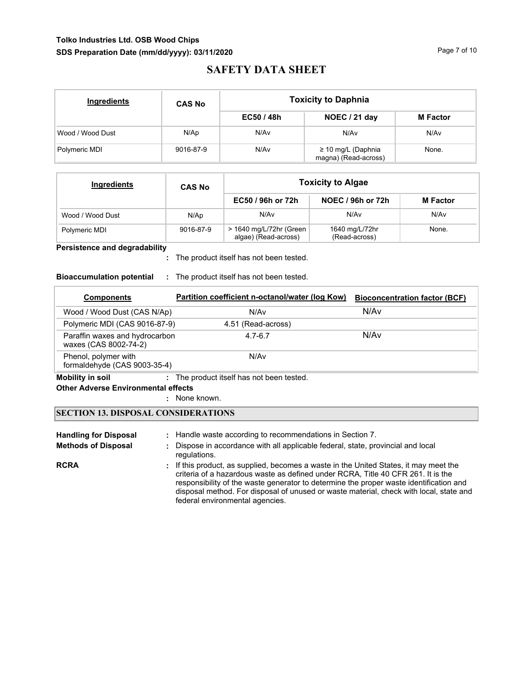## **Tolko Industries Ltd. OSB Wood Chips SDS Preparation Date (mm/dd/yyyy): 03/11/2020**

# **SAFETY DATA SHEET**

| Ingredients      | <b>CAS No</b> | <b>Toxicity to Daphnia</b> |                                                 |                 |  |  |
|------------------|---------------|----------------------------|-------------------------------------------------|-----------------|--|--|
|                  |               | EC50/48h                   | NOEC / 21 day                                   | <b>M</b> Factor |  |  |
| Wood / Wood Dust | N/Ap          | N/Av                       | N/A <sub>v</sub>                                | N/Av            |  |  |
| Polymeric MDI    | 9016-87-9     | N/Av                       | $\geq$ 10 mg/L (Daphnia<br>magna) (Read-across) | None.           |  |  |

| Ingredients      | <b>CAS No</b> | <b>Toxicity to Algae</b>                        |                                 |                 |  |  |
|------------------|---------------|-------------------------------------------------|---------------------------------|-----------------|--|--|
|                  |               | EC50 / 96h or 72h                               | <b>NOEC / 96h or 72h</b>        | <b>M</b> Factor |  |  |
| Wood / Wood Dust | N/Ap          | N/Av                                            | N/Av                            | N/Av            |  |  |
| Polymeric MDI    | 9016-87-9     | > 1640 mg/L/72hr (Green<br>algae) (Read-across) | 1640 mg/L/72hr<br>(Read-across) | None.           |  |  |

## **Persistence and degradability**

The product itself has not been tested. **:**

## **Bioaccumulation potential :** The product itself has not been tested.

| <b>Components</b>                                       | Partition coefficient n-octanol/water (log Kow) | <b>Bioconcentration factor (BCF)</b> |
|---------------------------------------------------------|-------------------------------------------------|--------------------------------------|
| Wood / Wood Dust (CAS N/Ap)                             | N/Av                                            | N/Av                                 |
| Polymeric MDI (CAS 9016-87-9)                           | 4.51 (Read-across)                              |                                      |
| Paraffin waxes and hydrocarbon<br>waxes (CAS 8002-74-2) | $4.7 - 6.7$                                     | N/Av                                 |
| Phenol, polymer with<br>formaldehyde (CAS 9003-35-4)    | N/Av                                            |                                      |

# **Mobility in soil :** The product itself has not been tested.

**Other Adverse Environmental effects** 

: None known.

## **SECTION 13. DISPOSAL CONSIDERATIONS**

| <b>Handling for Disposal</b><br><b>Methods of Disposal</b> | : Handle waste according to recommendations in Section 7.<br>: Dispose in accordance with all applicable federal, state, provincial and local<br>regulations.                                                                                                                                                                                                                                    |
|------------------------------------------------------------|--------------------------------------------------------------------------------------------------------------------------------------------------------------------------------------------------------------------------------------------------------------------------------------------------------------------------------------------------------------------------------------------------|
| <b>RCRA</b>                                                | . If this product, as supplied, becomes a waste in the United States, it may meet the<br>criteria of a hazardous waste as defined under RCRA, Title 40 CFR 261. It is the<br>responsibility of the waste generator to determine the proper waste identification and<br>disposal method. For disposal of unused or waste material, check with local, state and<br>federal environmental agencies. |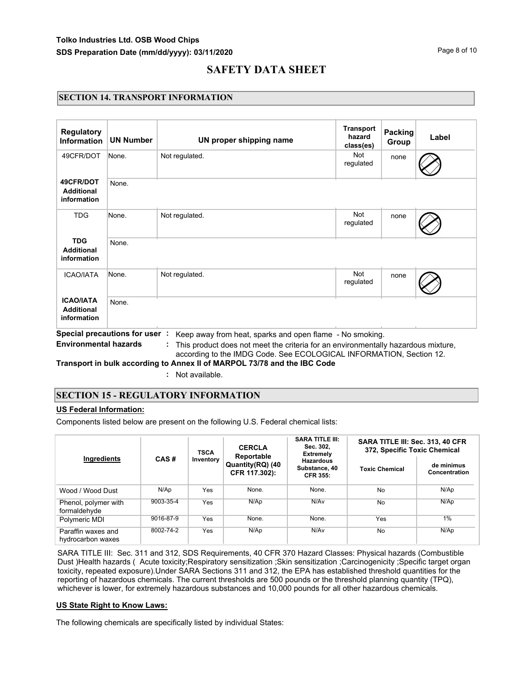## **SECTION 14. TRANSPORT INFORMATION**

| <b>Regulatory</b><br><b>Information</b>              | <b>UN Number</b>              | UN proper shipping name                                                                                                                                                                                              | <b>Transport</b><br>hazard<br>class(es) | <b>Packing</b><br>Group | Label |
|------------------------------------------------------|-------------------------------|----------------------------------------------------------------------------------------------------------------------------------------------------------------------------------------------------------------------|-----------------------------------------|-------------------------|-------|
| 49CFR/DOT                                            | None.                         | Not regulated.                                                                                                                                                                                                       | Not<br>regulated                        | none                    |       |
| 49CFR/DOT<br><b>Additional</b><br>information        | None.                         |                                                                                                                                                                                                                      |                                         |                         |       |
| <b>TDG</b>                                           | None.                         | Not regulated.                                                                                                                                                                                                       | <b>Not</b><br>regulated                 | none                    |       |
| <b>TDG</b><br><b>Additional</b><br>information       | None.                         |                                                                                                                                                                                                                      |                                         |                         |       |
| <b>ICAO/IATA</b>                                     | None.                         | Not regulated.                                                                                                                                                                                                       | <b>Not</b><br>regulated                 | none                    |       |
| <b>ICAO/IATA</b><br><b>Additional</b><br>information | None.                         |                                                                                                                                                                                                                      |                                         |                         |       |
| <b>Environmental hazards</b>                         | Special precautions for user: | Keep away from heat, sparks and open flame - No smoking.<br>This product does not meet the criteria for an environmentally hazardous mixture,<br>according to the IMDG Code. See ECOLOGICAL INFORMATION, Section 12. |                                         |                         |       |

**Transport in bulk according to Annex II of MARPOL 73/78 and the IBC Code**

**:** Not available.

## **SECTION 15 - REGULATORY INFORMATION**

## **US Federal Information:**

Components listed below are present on the following U.S. Federal chemical lists:

| Ingredients                             |           | <b>TSCA</b> | <b>CERCLA</b><br>Reportable       | <b>SARA TITLE III:</b><br>Sec. 302,<br><b>Extremely</b> | SARA TITLE III: Sec. 313, 40 CFR<br>372, Specific Toxic Chemical |                             |  |
|-----------------------------------------|-----------|-------------|-----------------------------------|---------------------------------------------------------|------------------------------------------------------------------|-----------------------------|--|
|                                         | CAS#      | Inventory   | Quantity(RQ) (40<br>CFR 117.302): | <b>Hazardous</b><br>Substance, 40<br><b>CFR 355:</b>    | <b>Toxic Chemical</b>                                            | de minimus<br>Concentration |  |
| Wood / Wood Dust                        | N/Ap      | Yes         | None.                             | None.                                                   | <b>No</b>                                                        | N/Ap                        |  |
| Phenol, polymer with<br>formaldehyde    | 9003-35-4 | Yes         | N/AD                              | N/Av                                                    | No                                                               | N/Ap                        |  |
| Polymeric MDI                           | 9016-87-9 | Yes         | None.                             | None.                                                   | Yes                                                              | 1%                          |  |
| Paraffin waxes and<br>hydrocarbon waxes | 8002-74-2 | Yes         | N/Ap                              | N/Av                                                    | No                                                               | N/Ap                        |  |

SARA TITLE III: Sec. 311 and 312, SDS Requirements, 40 CFR 370 Hazard Classes: Physical hazards (Combustible Dust )Health hazards ( Acute toxicity;Respiratory sensitization ;Skin sensitization ;Carcinogenicity ;Specific target organ toxicity, repeated exposure).Under SARA Sections 311 and 312, the EPA has established threshold quantities for the reporting of hazardous chemicals. The current thresholds are 500 pounds or the threshold planning quantity (TPQ), whichever is lower, for extremely hazardous substances and 10,000 pounds for all other hazardous chemicals.

#### **US State Right to Know Laws:**

The following chemicals are specifically listed by individual States: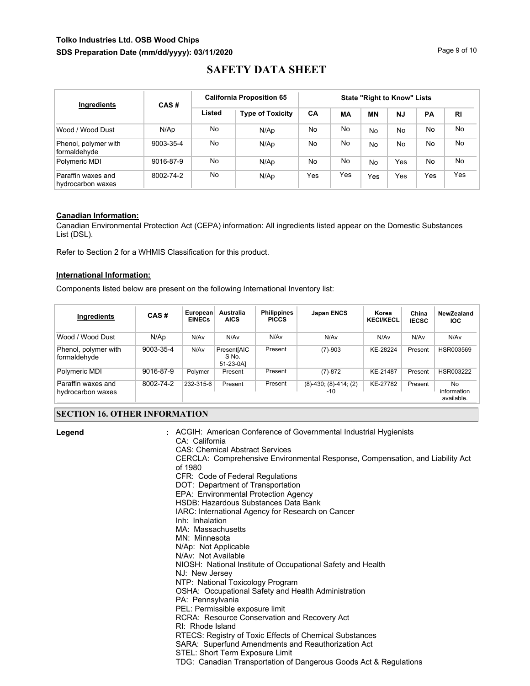## **Tolko Industries Ltd. OSB Wood Chips SDS Preparation Date (mm/dd/yyyy): 03/11/2020**

# **SAFETY DATA SHEET**

| Ingredients                             | CAS#      |        | <b>California Proposition 65</b> | <b>State "Right to Know" Lists</b> |     |           |           |           |                |
|-----------------------------------------|-----------|--------|----------------------------------|------------------------------------|-----|-----------|-----------|-----------|----------------|
|                                         |           | Listed | <b>Type of Toxicity</b>          | CA                                 | МA  | <b>MN</b> | <b>NJ</b> | PA        | R <sub>l</sub> |
| Wood / Wood Dust                        | N/Ap      | No     | N/Ap                             | No                                 | No  | <b>No</b> | No        | <b>No</b> | No.            |
| Phenol, polymer with<br>formaldehyde    | 9003-35-4 | No     | N/Ap                             | No                                 | No  | <b>No</b> | No        | <b>No</b> | No.            |
| Polymeric MDI                           | 9016-87-9 | No     | N/Ap                             | No                                 | No  | <b>No</b> | Yes       | No.       | No.            |
| Paraffin waxes and<br>hydrocarbon waxes | 8002-74-2 | No     | N/Ap                             | Yes                                | Yes | Yes       | Yes       | Yes       | Yes            |

## **Canadian Information:**

Canadian Environmental Protection Act (CEPA) information: All ingredients listed appear on the Domestic Substances List (DSL).

Refer to Section 2 for a WHMIS Classification for this product.

## **International Information:**

Components listed below are present on the following International Inventory list:

| Ingredients                             | CAS#      | European<br><b>EINECs</b> | Australia<br><b>AICS</b>          | <b>Philippines</b><br><b>PICCS</b> | <b>Japan ENCS</b>             | Korea<br><b>KECI/KECL</b> | China<br><b>IECSC</b> | NewZealand<br>IOC.              |
|-----------------------------------------|-----------|---------------------------|-----------------------------------|------------------------------------|-------------------------------|---------------------------|-----------------------|---------------------------------|
| Wood / Wood Dust                        | N/Ap      | N/Av                      | N/Av                              | N/Av                               | N/Av                          | N/Av                      | N/Av                  | N/Av                            |
| Phenol, polymer with<br>formaldehyde    | 9003-35-4 | N/Av                      | Present[AIC<br>S No.<br>51-23-0A] | Present                            | $(7)-903$                     | KE-28224                  | Present               | HSR003569                       |
| Polymeric MDI                           | 9016-87-9 | Polymer                   | Present                           | Present                            | $(7)-872$                     | KE-21487                  | Present               | HSR003222                       |
| Paraffin waxes and<br>hydrocarbon waxes | 8002-74-2 | 232-315-6                 | Present                           | Present                            | $(8)-430$ ; $(8)-414$ ; $(2)$ | KE-27782                  | Present               | No<br>information<br>available. |

## **SECTION 16. OTHER INFORMATION**

| Legend | : ACGIH: American Conference of Governmental Industrial Hygienists<br>CA: California<br><b>CAS: Chemical Abstract Services</b><br>CERCLA: Comprehensive Environmental Response, Compensation, and Liability Act<br>of 1980<br>CFR: Code of Federal Regulations<br>DOT: Department of Transportation<br>EPA: Environmental Protection Agency<br>HSDB: Hazardous Substances Data Bank<br>IARC: International Agency for Research on Cancer<br>Inh: Inhalation<br>MA: Massachusetts |
|--------|----------------------------------------------------------------------------------------------------------------------------------------------------------------------------------------------------------------------------------------------------------------------------------------------------------------------------------------------------------------------------------------------------------------------------------------------------------------------------------|
|        | MN: Minnesota<br>N/Ap: Not Applicable                                                                                                                                                                                                                                                                                                                                                                                                                                            |
|        | N/Av: Not Available                                                                                                                                                                                                                                                                                                                                                                                                                                                              |
|        | NIOSH: National Institute of Occupational Safety and Health                                                                                                                                                                                                                                                                                                                                                                                                                      |
|        | NJ: New Jersey                                                                                                                                                                                                                                                                                                                                                                                                                                                                   |
|        | NTP: National Toxicology Program<br>OSHA: Occupational Safety and Health Administration                                                                                                                                                                                                                                                                                                                                                                                          |
|        | PA: Pennsylvania                                                                                                                                                                                                                                                                                                                                                                                                                                                                 |
|        | PEL: Permissible exposure limit                                                                                                                                                                                                                                                                                                                                                                                                                                                  |
|        | RCRA: Resource Conservation and Recovery Act                                                                                                                                                                                                                                                                                                                                                                                                                                     |
|        | RI: Rhode Island                                                                                                                                                                                                                                                                                                                                                                                                                                                                 |
|        | RTECS: Registry of Toxic Effects of Chemical Substances                                                                                                                                                                                                                                                                                                                                                                                                                          |
|        | SARA: Superfund Amendments and Reauthorization Act                                                                                                                                                                                                                                                                                                                                                                                                                               |
|        | STEL: Short Term Exposure Limit<br>TDG: Canadian Transportation of Dangerous Goods Act & Regulations                                                                                                                                                                                                                                                                                                                                                                             |